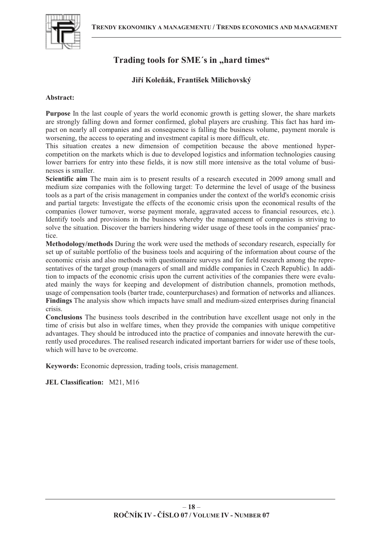

# Trading tools for SME's in "hard times"

# **Ji-í Koleák, František Milichovský**

## **Abstract:**

**Purpose** In the last couple of years the world economic growth is getting slower, the share markets are strongly falling down and former confirmed, global players are crushing. This fact has hard impact on nearly all companies and as consequence is falling the business volume, payment morale is worsening, the access to operating and investment capital is more difficult, etc.

This situation creates a new dimension of competition because the above mentioned hypercompetition on the markets which is due to developed logistics and information technologies causing lower barriers for entry into these fields, it is now still more intensive as the total volume of businesses is smaller.

**Scientific aim** The main aim is to present results of a research executed in 2009 among small and medium size companies with the following target: To determine the level of usage of the business tools as a part of the crisis management in companies under the context of the world's economic crisis and partial targets: Investigate the effects of the economic crisis upon the economical results of the companies (lower turnover, worse payment morale, aggravated access to financial resources, etc.). Identify tools and provisions in the business whereby the management of companies is striving to solve the situation. Discover the barriers hindering wider usage of these tools in the companies' practice.

**Methodology/methods** During the work were used the methods of secondary research, especially for set up of suitable portfolio of the business tools and acquiring of the information about course of the economic crisis and also methods with questionnaire surveys and for field research among the representatives of the target group (managers of small and middle companies in Czech Republic). In addition to impacts of the economic crisis upon the current activities of the companies there were evaluated mainly the ways for keeping and development of distribution channels, promotion methods, usage of compensation tools (barter trade, counterpurchases) and formation of networks and alliances. **Findings** The analysis show which impacts have small and medium-sized enterprises during financial crisis.

**Conclusions** The business tools described in the contribution have excellent usage not only in the time of crisis but also in welfare times, when they provide the companies with unique competitive advantages. They should be introduced into the practice of companies and innovate herewith the currently used procedures. The realised research indicated important barriers for wider use of these tools, which will have to be overcome.

**Keywords:** Economic depression, trading tools, crisis management.

**JEL Classification:** M21, M16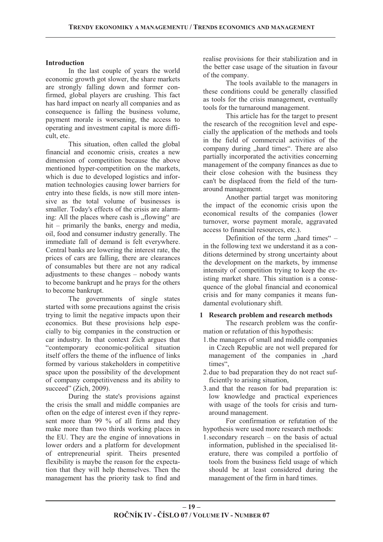## **Introduction**

In the last couple of years the world economic growth got slower, the share markets are strongly falling down and former confirmed, global players are crushing. This fact has hard impact on nearly all companies and as consequence is falling the business volume, payment morale is worsening, the access to operating and investment capital is more difficult, etc.

This situation, often called the global financial and economic crisis, creates a new dimension of competition because the above mentioned hyper-competition on the markets, which is due to developed logistics and information technologies causing lower barriers for entry into these fields, is now still more intensive as the total volume of businesses is smaller. Today's effects of the crisis are alarming: All the places where cash is "flowing" are hit – primarily the banks, energy and media, oil, food and consumer industry generally. The immediate fall of demand is felt everywhere. Central banks are lowering the interest rate, the prices of cars are falling, there are clearances of consumables but there are not any radical adjustments to these changes – nobody wants to become bankrupt and he prays for the others to become bankrupt.

The governments of single states started with some precautions against the crisis trying to limit the negative impacts upon their economics. But these provisions help especially to big companies in the construction or car industry. In that context Zich argues that "contemporary economic-political situation itself offers the theme of the influence of links formed by various stakeholders in competitive space upon the possibility of the development of company competitiveness and its ability to succeed" (Zich, 2009).

During the state's provisions against the crisis the small and middle companies are often on the edge of interest even if they represent more than 99 % of all firms and they make more than two thirds working places in the EU. They are the engine of innovations in lower orders and a platform for development of entrepreneurial spirit. Theirs presented flexibility is maybe the reason for the expectation that they will help themselves. Then the management has the priority task to find and

realise provisions for their stabilization and in the better case usage of the situation in favour of the company.

The tools available to the managers in these conditions could be generally classified as tools for the crisis management, eventually tools for the turnaround management.

This article has for the target to present the research of the recognition level and especially the application of the methods and tools in the field of commercial activities of the company during "hard times". There are also partially incorporated the activities concerning management of the company finances as due to their close cohesion with the business they can't be displaced from the field of the turnaround management.

Another partial target was monitoring the impact of the economic crisis upon the economical results of the companies (lower turnover, worse payment morale, aggravated access to financial resources, etc.).

Definition of the term  $_{\text{h}}$  hard times" – in the following text we understand it as a conditions determined by strong uncertainty about the development on the markets, by immense intensity of competition trying to keep the existing market share. This situation is a consequence of the global financial and economical crisis and for many companies it means fundamental evolutionary shift.

# **1 Research problem and research methods**

The research problem was the confirmation or refutation of this hypothesis:

- 1.the managers of small and middle companies in Czech Republic are not well prepared for management of the companies in "hard times",
- 2.due to bad preparation they do not react sufficiently to arising situation,
- 3.and that the reason for bad preparation is: low knowledge and practical experiences with usage of the tools for crisis and turnaround management.

For confirmation or refutation of the hypothesis were used more research methods:

1.secondary research – on the basis of actual information, published in the specialised literature, there was compiled a portfolio of tools from the business field usage of which should be at least considered during the management of the firm in hard times.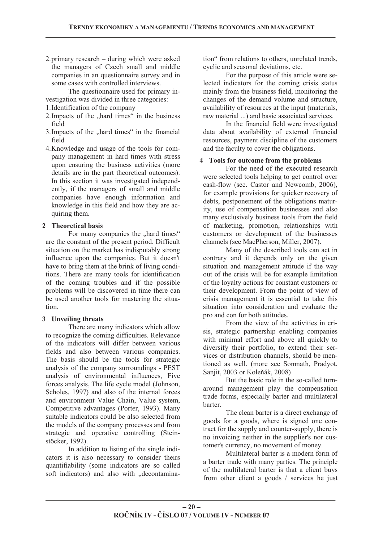2.primary research – during which were asked the managers of Czech small and middle companies in an questionnaire survey and in some cases with controlled interviews.

The questionnaire used for primary investigation was divided in three categories:

- 1.Identification of the company
- 2. Impacts of the "hard times" in the business field
- 3. Impacts of the ... hard times " in the financial field
- 4.Knowledge and usage of the tools for company management in hard times with stress upon ensuring the business activities (more details are in the part theoretical outcomes). In this section it was investigated independently, if the managers of small and middle companies have enough information and knowledge in this field and how they are acquiring them.

# **2 Theoretical basis**

For many companies the "hard times" are the constant of the present period. Difficult situation on the market has indisputably strong influence upon the companies. But it doesn't have to bring them at the brink of living conditions. There are many tools for identification of the coming troubles and if the possible problems will be discovered in time there can be used another tools for mastering the situation.

#### **3 Unveiling threats**

There are many indicators which allow to recognize the coming difficulties. Relevance of the indicators will differ between various fields and also between various companies. The basis should be the tools for strategic analysis of the company surroundings - PEST analysis of environmental influences, Five forces analysis, The life cycle model (Johnson, Scholes, 1997) and also of the internal forces and environment Value Chain, Value system, Competitive advantages (Porter, 1993). Many suitable indicators could be also selected from the models of the company processes and from strategic and operative controlling (Steinstöcker, 1992).

In addition to listing of the single indicators it is also necessary to consider theirs quantifiability (some indicators are so called soft indicators) and also with "decontamination" from relations to others, unrelated trends, cyclic and seasonal deviations, etc.

For the purpose of this article were selected indicators for the coming crisis status mainly from the business field, monitoring the changes of the demand volume and structure, availability of resources at the input (materials, raw material ...) and basic associated services.

In the financial field were investigated data about availability of external financial resources, payment discipline of the customers and the faculty to cover the obligations.

#### **4 Tools for outcome from the problems**

For the need of the executed research were selected tools helping to get control over cash-flow (see. Castor and Newcomb, 2006), for example provisions for quicker recovery of debts, postponement of the obligations maturity, use of compensation businesses and also many exclusively business tools from the field of marketing, promotion, relationships with customers or development of the businesses channels (see MacPherson, Miller, 2007).

Many of the described tools can act in contrary and it depends only on the given situation and management attitude if the way out of the crisis will be for example limitation of the loyalty actions for constant customers or their development. From the point of view of crisis management it is essential to take this situation into consideration and evaluate the pro and con for both attitudes.

From the view of the activities in crisis, strategic partnership enabling companies with minimal effort and above all quickly to diversify their portfolio, to extend their services or distribution channels, should be mentioned as well. (more see Somnath, Pradyot, Sanjit, 2003 or Koleňák, 2008)

But the basic role in the so-called turnaround management play the compensation trade forms, especially barter and multilateral barter.

The clean barter is a direct exchange of goods for a goods, where is signed one contract for the supply and counter-supply, there is no invoicing neither in the supplier's nor customer's currency, no movement of money.

Multilateral barter is a modern form of a barter trade with many parties. The principle of the multilateral barter is that a client buys from other client a goods / services he just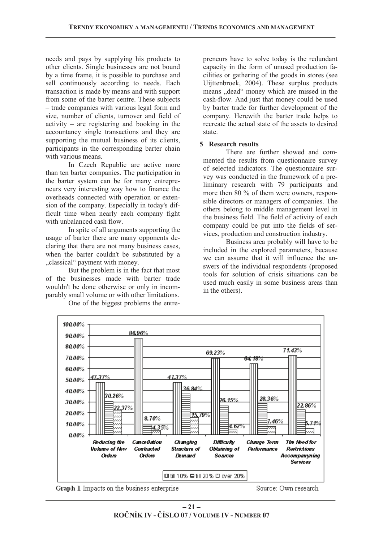needs and pays by supplying his products to other clients. Single businesses are not bound by a time frame, it is possible to purchase and sell continuously according to needs. Each transaction is made by means and with support from some of the barter centre. These subjects – trade companies with various legal form and size, number of clients, turnover and field of activity – are registering and booking in the accountancy single transactions and they are supporting the mutual business of its clients, participants in the corresponding barter chain with various means.

In Czech Republic are active more than ten barter companies. The participation in the barter system can be for many entrepreneurs very interesting way how to finance the overheads connected with operation or extension of the company. Especially in today's difficult time when nearly each company fight with unbalanced cash flow.

In spite of all arguments supporting the usage of barter there are many opponents declaring that there are not many business cases, when the barter couldn't be substituted by a "classical" payment with money.

But the problem is in the fact that most of the businesses made with barter trade wouldn't be done otherwise or only in incomparably small volume or with other limitations.

One of the biggest problems the entre-

preneurs have to solve today is the redundant capacity in the form of unused production facilities or gathering of the goods in stores (see Uijttenbroek, 2004). These surplus products means "dead" money which are missed in the cash-flow. And just that money could be used by barter trade for further development of the company. Herewith the barter trade helps to recreate the actual state of the assets to desired state.

### **5 Research results**

There are further showed and commented the results from questionnaire survey of selected indicators. The questionnaire survey was conducted in the framework of a preliminary research with 79 participants and more then 80 % of them were owners, responsible directors or managers of companies. The others belong to middle management level in the business field. The field of activity of each company could be put into the fields of services, production and construction industry.

Business area probably will have to be included in the explored parameters, because we can assume that it will influence the answers of the individual respondents (proposed tools for solution of crisis situations can be used much easily in some business areas than in the others).





Source: Own research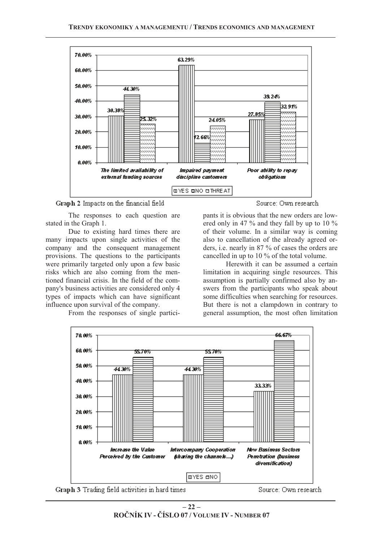

Graph 2 Impacts on the financial field

The responses to each question are stated in the Graph 1.

Due to existing hard times there are many impacts upon single activities of the company and the consequent management provisions. The questions to the participants were primarily targeted only upon a few basic risks which are also coming from the mentioned financial crisis. In the field of the company's business activities are considered only 4 types of impacts which can have significant influence upon survival of the company.

From the responses of single partici-

Source: Own research

pants it is obvious that the new orders are lowered only in 47 % and they fall by up to 10 % of their volume. In a similar way is coming also to cancellation of the already agreed orders, i.e. nearly in 87 % of cases the orders are cancelled in up to 10 % of the total volume.

Herewith it can be assumed a certain limitation in acquiring single resources. This assumption is partially confirmed also by answers from the participants who speak about some difficulties when searching for resources. But there is not a clampdown in contrary to general assumption, the most often limitation





Source: Own research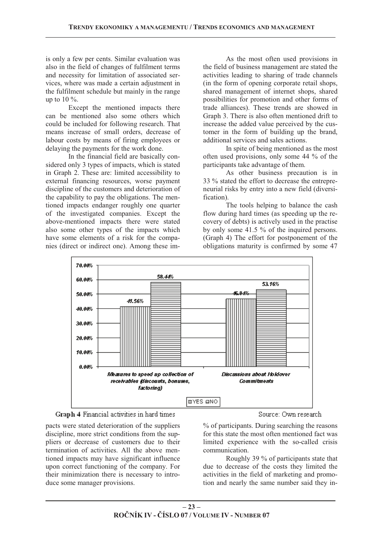is only a few per cents. Similar evaluation was also in the field of changes of fulfilment terms and necessity for limitation of associated services, where was made a certain adjustment in the fulfilment schedule but mainly in the range up to  $10\%$ .

Except the mentioned impacts there can be mentioned also some others which could be included for following research. That means increase of small orders, decrease of labour costs by means of firing employees or delaying the payments for the work done.

In the financial field are basically considered only 3 types of impacts, which is stated in Graph 2. These are: limited accessibility to external financing resources, worse payment discipline of the customers and deterioration of the capability to pay the obligations. The mentioned impacts endanger roughly one quarter of the investigated companies. Except the above-mentioned impacts there were stated also some other types of the impacts which have some elements of a risk for the companies (direct or indirect one). Among these im-

As the most often used provisions in the field of business management are stated the activities leading to sharing of trade channels (in the form of opening corporate retail shops, shared management of internet shops, shared possibilities for promotion and other forms of trade alliances). These trends are showed in Graph 3. There is also often mentioned drift to increase the added value perceived by the customer in the form of building up the brand, additional services and sales actions.

In spite of being mentioned as the most often used provisions, only some 44 % of the participants take advantage of them.

As other business precaution is in 33 % stated the effort to decrease the entrepreneurial risks by entry into a new field (diversification).

The tools helping to balance the cash flow during hard times (as speeding up the recovery of debts) is actively used in the practise by only some 41.5 % of the inquired persons. (Graph 4) The effort for postponement of the obligations maturity is confirmed by some 47





pacts were stated deterioration of the suppliers discipline, more strict conditions from the suppliers or decrease of customers due to their termination of activities. All the above mentioned impacts may have significant influence upon correct functioning of the company. For their minimization there is necessary to introduce some manager provisions.

Source: Own research

% of participants. During searching the reasons for this state the most often mentioned fact was limited experience with the so-called crisis communication.

Roughly 39 % of participants state that due to decrease of the costs they limited the activities in the field of marketing and promotion and nearly the same number said they in-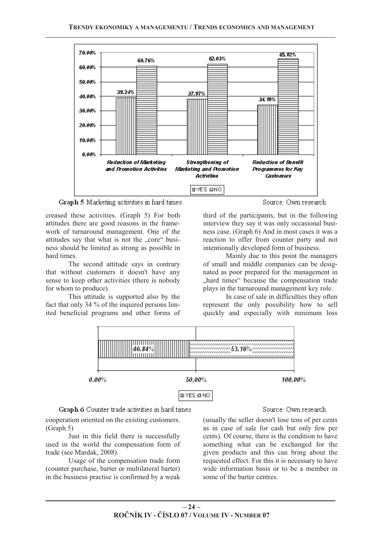

Graph 5 Marketing activities in hard times

creased these activities. (Graph 5) For both attitudes there are good reasons in the framework of turnaround management. One of the attitudes say that what is not the "core" business should be limited as strong as possible in hard times.

The second attitude says in contrary that without customers it doesn't have any sense to keep other activities (there is nobody for whom to produce).

This attitude is supported also by the fact that only 34 % of the inquired persons limited beneficial programs and other forms of

Source: Own research.

third of the participants, but in the following interview they say it was only occasional business case. (Graph 6) And in most cases it was a reaction to offer from counter party and not intentionally developed form of business.

Mainly due to this point the managers of small and middle companies can be designated as poor prepared for the management in "hard times" because the compensation trade plays in the turnaround management key role.

In case of sale in difficulties they often represent the only possibility how to sell quickly and especially with minimum loss



Graph 6 Counter trade activities in hard times

cooperation oriented on the existing customers. (Graph 5)

Just in this field there is successfully used in the world the compensation form of trade (see Mardak, 2008).

Usage of the compensation trade form (counter purchase, barter or multilateral barter) in the business practise is confirmed by a weak

#### Source: Own research

(usually the seller doesn't lose tens of per cents as in case of sale for cash but only few per cents). Of course, there is the condition to have something what can be exchanged for the given products and this can bring about the requested effect. For this it is necessary to have wide information basis or to be a member in some of the barter centres.